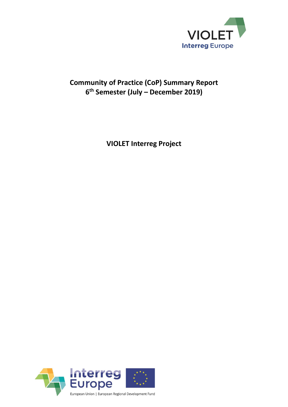

# **Community of Practice (CoP) Summary Report 6 th Semester (July – December 2019)**

**VIOLET Interreg Project**

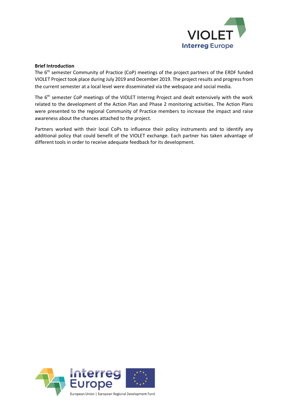

### **Brief Introduction**

The 6<sup>th</sup> semester Community of Practice (CoP) meetings of the project partners of the ERDF funded VIOLET Project took place during July 2019 and December 2019. The project results and progress from the current semester at a local level were disseminated via the webspace and social media.

The 6<sup>th</sup> semester CoP meetings of the VIOLET Interreg Project and dealt extensively with the work related to the development of the Action Plan and Phase 2 monitoring activities. The Action Plans were presented to the regional Community of Practice members to increase the impact and raise awareness about the chances attached to the project.

Partners worked with their local CoPs to influence their policy instruments and to identify any additional policy that could benefit of the VIOLET exchange. Each partner has taken advantage of different tools in order to receive adequate feedback for its development.

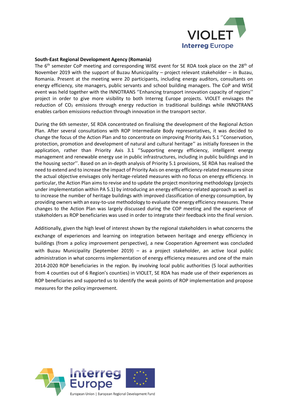

### **South-East Regional Development Agency (Romania)**

The 6<sup>th</sup> semester CoP meeting and corresponding WISE event for SE RDA took place on the 28<sup>th</sup> of November 2019 with the support of Buzau Municipality – project relevant stakeholder – in Buzau, Romania. Present at the meeting were 20 participants, including energy auditors, consultants on energy efficiency, site managers, public servants and school building managers. The CoP and WISE event was held together with the INNOTRANS ''Enhancing transport innovation capacity of regions'' project in order to give more visibility to both Interreg Europe projects. VIOLET envisages the reduction of  $CO<sub>2</sub>$  emissions through energy reduction in traditional buildings while INNOTRANS enables carbon emissions reduction through innovation in the transport sector.

During the 6th semester, SE RDA concentrated on finalising the development of the Regional Action Plan. After several consultations with ROP Intermediate Body representatives, it was decided to change the focus of the Action Plan and to concentrate on improving Priority Axis 5.1 ''Conservation, protection, promotion and development of natural and cultural heritage'' as initially foreseen in the application, rather than Priority Axis 3.1 ''Supporting energy efficiency, intelligent energy management and renewable energy use in public infrastructures, including in public buildings and in the housing sector''. Based on an in-depth analysis of Priority 5.1 provisions, SE RDA has realised the need to extend and to increase the impact of Priority Axis on energy efficiency-related measures since the actual objective envisages only heritage-related measures with no focus on energy efficiency. In particular, the Action Plan aims to revise and to update the project monitoring methodology (projects under implementation within PA 5.1) by introducing an energy efficiency-related approach as well as to increase the number of heritage buildings with improved classification of energy consumption, by providing owners with an easy-to-use methodology to evaluate the energy efficiency measures. These changes to the Action Plan was largely discussed during the COP meeting and the experience of stakeholders as ROP beneficiaries was used in order to integrate their feedback into the final version.

Additionally, given the high level of interest shown by the regional stakeholders in what concerns the exchange of experiences and learning on integration between heritage and energy efficiency in buildings (from a policy improvement perspective), a new Cooperation Agreement was concluded with Buzau Municipality (September 2019) – as a project stakeholder, an active local public administration in what concerns implementation of energy efficiency measures and one of the main 2014-2020 ROP beneficiaries in the region. By involving local public authorities (5 local authorities from 4 counties out of 6 Region's counties) in VIOLET, SE RDA has made use of their experiences as ROP beneficiaries and supported us to identify the weak points of ROP implementation and propose measures for the policy improvement.

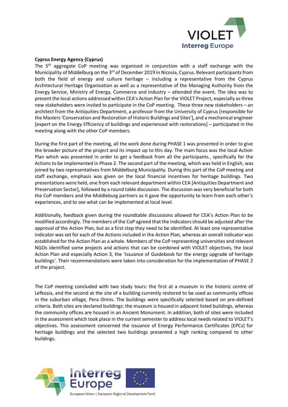

### **Cyprus Energy Agency (Cyprus)**

The 5<sup>th</sup> aggregate CoP meeting was organised in conjunction with a staff exchange with the Municipality of Middelburg on the 3<sup>rd</sup> of December 2019 in Nicosia, Cyprus. Relevant participants from both the field of energy and culture heritage – including a representative from the Cyprus Architectural Heritage Organisation as well as a representative of the Managing Authority from the Energy Service, Ministry of Energy, Commerce and Industry – attended the event. The idea was to present the local actions addressed within CEA's Action Plan for the VIOLET Project, especially as three new stakeholders were invited to participate in the CoP meeting. These three new stakeholders – an architect from the Antiquities Department, a professor from the University of Cyprus [responsible for the Masters 'Conservation and Restoration of Historic Buildings and Sites'], and a mechanical engineer [expert on the Energy Efficiency of buildings and experienced with restorations] – participated in the meeting along with the other CoP members.

During the first part of the meeting, all the work done during PHASE 1 was presented in order to give the broader picture of the project and its impact up to this day. The main focus was the local Action Plan which was presented in order to get a feedback from all the participants., specifically for the Actions to be implemented in Phase 2. The second part of the meeting, which was held in English, was joined by two representatives from Middelburg Municipality. During this part of the CoP meeting and staff exchange, emphasis was given on the local financial incentives for heritage buildings. Two presentations were held, one from each relevant department within CEA [Antiquities Department and Preservation Sector], followed by a round table discussion. The discussion was very beneficial for both the CoP members and the Middleburg partners as it gave the opportunity to learn from each other's experiences, and to see what can be implemented at local level.

Additionally, feedback given during the roundtable discussions allowed for CEA's Action Plan to be modified accordingly. The members of the CoP agreed that the indicators should be adjusted after the approval of the Action Plan, but as a first step they need to be identified. At least one representative indicator was set for each of the Actions included in the Action Plan, whereas an overall indicator was established for the Action Plan as a whole. Members of the CoP representing universities and relevant NGOs identified some projects and actions that can be combined with VIOLET objectives, the local Action Plan and especially Action 3, the 'Issuance of Guidebook for the energy upgrade of heritage buildings'. Their recommendations were taken into consideration for the implementation of PHASE 2 of the project.

The CoP meeting concluded with two study tours: the first at a museum in the historic centre of Lefkosia, and the second at the site of a building currently restored to be used as community offices in the suburban village, Pera Orinis. The buildings were specifically selected based on pre-defined criteria. Both sites are declared buildings: the museum is housed in adjacent listed buildings, whereas the community offices are housed in an Ancient Monument. In addition, both of sites were included in the assessment which took place in the current semester to address local needs related to VIOLET's objectives. This assessment concerned the issuance of Energy Performance Certificates [EPCs] for heritage buildings and the selected two buildings presented a high ranking compared to other buildings.

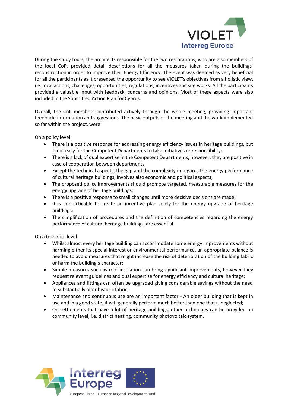

During the study tours, the architects responsible for the two restorations, who are also members of the local CoP, provided detail descriptions for all the measures taken during the buildings' reconstruction in order to improve their Energy Efficiency. The event was deemed as very beneficial for all the participants as it presented the opportunity to see VIOLET's objectives from a holistic view, i.e. local actions, challenges, opportunities, regulations, incentives and site works. All the participants provided a valuable input with feedback, concerns and opinions. Most of these aspects were also included in the Submitted Action Plan for Cyprus.

Overall, the CoP members contributed actively through the whole meeting, providing important feedback, information and suggestions. The basic outputs of the meeting and the work implemented so far within the project, were:

On a policy level

- There is a positive response for addressing energy efficiency issues in heritage buildings, but is not easy for the Competent Departments to take initiatives or responsibility;
- There is a lack of dual expertise in the Competent Departments, however, they are positive in case of cooperation between departments;
- Except the technical aspects, the gap and the complexity in regards the energy performance of cultural heritage buildings, involves also economic and political aspects;
- The proposed policy improvements should promote targeted, measurable measures for the energy upgrade of heritage buildings;
- There is a positive response to small changes until more decisive decisions are made;
- It is impracticable to create an incentive plan solely for the energy upgrade of heritage buildings;
- The simplification of procedures and the definition of competencies regarding the energy performance of cultural heritage buildings, are essential.

On a technical level

- Whilst almost every heritage building can accommodate some energy improvements without harming either its special interest or environmental performance, an appropriate balance is needed to avoid measures that might increase the risk of deterioration of the building fabric or harm the building's character;
- Simple measures such as roof insulation can bring significant improvements, however they request relevant guidelines and dual expertise for energy efficiency and cultural heritage;
- Appliances and fittings can often be upgraded giving considerable savings without the need to substantially alter historic fabric;
- Maintenance and continuous use are an important factor An older building that is kept in use and in a good state, it will generally perform much better than one that is neglected;
- On settlements that have a lot of heritage buildings, other techniques can be provided on community level, i.e. district heating, community photovoltaic system.

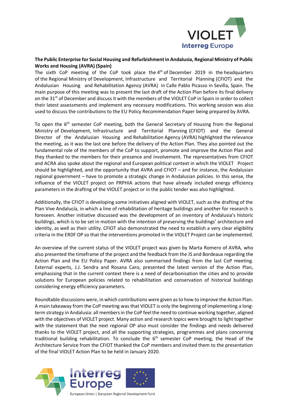

# **The Public Enterprise for Social Housing and Refurbishment in Andalusia, Regional Ministry of Public Works and Housing (AVRA) (Spain)**

The sixth CoP meeting of the CoP took place the  $4<sup>th</sup>$  of December 2019 in the headquarters of the Regional Ministry of Development, Infrastructure and Territorial Planning (CFIOT) and the Andalusian Housing and Rehabilitation Agency (AVRA) in Calle Pablo Picasso in Sevilla, Spain. The main purpose of this meeting was to present the last draft of the Action Plan before its final delivery on the 31<sup>st</sup> of December and discuss it with the members of the VIOLET CoP in Spain in order to collect their latest assessments and implement any necessary modifications. This working session was also used to discuss the contributions to the EU Policy Recommendation Paper being prepared by AVRA.

To open the  $6<sup>th</sup>$  semester CoP meeting, both the General Secretary of Housing from the Regional Ministry of Development, Infrastructure and Territorial Planning (CFIOT) and the General Director of the Andalusian Housing and Rehabilitation Agency (AVRA) highlighted the relevance the meeting, as it was the last one before the delivery of the Action Plan. They also pointed out the fundamental role of the members of the CoP to support, promote and improve the Action Plan and they thanked to the members for their presence and involvement. The representatives from CFIOT and ACRA also spoke about the regional and European political context in which the VIOLET Project should be highlighted, and the opportunity that AVRA and CFIOT – and for instance, the Andalusian regional government – have to promote a strategic change in Andalusian policies. In this sense, the influence of the VIOLET project on PRPHIA actions that have already included energy efficiency parameters in the drafting of the VIOLET project or in the public tender was also highlighted.

Additionally, the CFIOT is developing some initiatives aligned with VIOLET, such as the drafting of the Plan Vive Andalucía, in which a line of rehabilitation of heritage buildings and another for research is foreseen. Another initiative discussed was the development of an inventory of Andalusia's historic buildings, which is to be set in motion with the intention of preserving the buildings' architecture and identity, as well as their utility. CFIOT also demonstrated the need to establish a very clear eligibility criteria in the ERDF OP so that the interventions promoted in the VIOLET Project can be implemented.

An overview of the current status of the VIOLET project was given by Marta Romero of AVRA, who also presented the timeframe of the project and the feedback from the JS and Bordeaux regarding the Action Plan and the EU Policy Paper. AVRA also summarised findings from the last CoP meeting. External experts, J.J. Sendra and Rosana Caro, presented the latest version of the Action Plan, emphasising that in the current context there is a need of decarbonisation the cities and to provide solutions for European policies related to rehabilitation and conservation of historical buildings considering energy efficiency parameters.

Roundtable discussions were, in which contributions were given as to how to improve the Action Plan. A main takeaway from the CoP meeting was that VIOLET is only the beginning of implementing a longterm strategy in Andalusia: all members in the CoP feel the need to continue working together, aligned with the objectives of VIOLET project. Many action and research topics were brought to light together with the statement that the next regional OP also must consider the findings and needs delivered thanks to the VIOLET project, and all the supporting strategies, programmes and plans concerning traditional building rehabilitation. To conclude the 6<sup>th</sup> semester CoP meeting, the Head of the Architecture Service from the CFIOT thanked the CoP members and invited them to the presentation of the final VIOLET Action Plan to be held in January 2020.

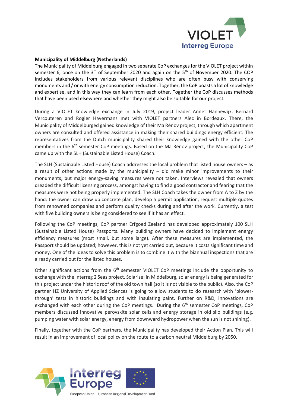

### **Municipality of Middelburg (Netherlands)**

The Municipality of Middelburg engaged in two separate CoP exchanges for the VIOLET project within semester 6, once on the  $3<sup>rd</sup>$  of September 2020 and again on the  $5<sup>th</sup>$  of November 2020. The COP includes stakeholders from various relevant disciplines who are often busy with conserving monuments and / or with energy consumption reduction. Together, the CoP boasts a lot of knowledge and expertise, and in this way they can learn from each other. Together the CoP discusses methods that have been used elsewhere and whether they might also be suitable for our project.

During a VIOLET knowledge exchange in July 2019, project leader Annet Hannewijk, Bernard Vercouteren and Rogier Havermans met with VIOLET partners Alec in Bordeaux. There, the Municipality of Middelburged gained knowledge of their Ma Rénov project, through which apartment owners are consulted and offered assistance in making their shared buildings energy efficient. The representatives from the Dutch municipality shared their knowledge gained with the other CoP members in the 6<sup>th</sup> semester CoP meetings. Based on the Ma Rénov project, the Municipality CoP came up with the SLH (Sustainable Listed House) Coach.

The SLH (Sustainable Listed House) Coach addresses the local problem that listed house owners – as a result of other actions made by the municipality – did make minor improvements to their monuments, but major energy-saving measures were not taken. Interviews revealed that owners dreaded the difficult licensing process, amongst having to find a good contractor and fearing that the measures were not being properly implemented. The SLH Coach takes the owner from A to Z by the hand: the owner can draw up concrete plan, develop a permit application, request multiple quotes from renowned companies and perform quality checks during and after the work. Currently, a test with five building owners is being considered to see if it has an effect.

Following the CoP meetings, CoP partner Erfgoed Zeeland has developed approximately 100 SLH (Sustainable Listed House) Passports. Many building owners have decided to implement energy efficiency measures (most small, but some large). After these measures are implemented, the Passport should be updated; however, this is not yet carried out, because it costs significant time and money. One of the ideas to solve this problem is to combine it with the biannual inspections that are already carried out for the listed houses.

Other significant actions from the  $6<sup>th</sup>$  semester VIOLET CoP meetings include the opportunity to exchange with the Interreg 2 Seas project, Solarise: in Middelburg, solar energy is being generated for this project under the historic roof of the old town hall (so it is not visible to the public). Also, the CoP partner HZ University of Applied Sciences is going to allow students to do research with 'blowerthrough' tests in historic buildings and with insulating paint. Further on R&D, innovations are exchanged with each other during the CoP meetings. During the  $6<sup>th</sup>$  semester CoP meetings, CoP members discussed innovative perovskite solar cells and energy storage in old silo buildings (e.g. pumping water with solar energy, energy from downward hydropower when the sun is not shining).

Finally, together with the CoP partners, the Municipality has developed their Action Plan. This will result in an improvement of local policy on the route to a carbon neutral Middelburg by 2050.

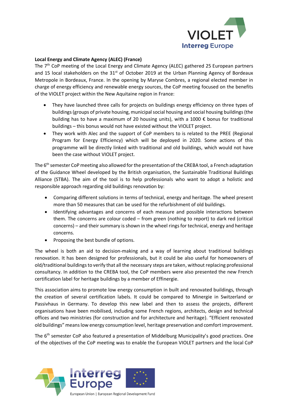

# **Local Energy and Climate Agency (ALEC) (France)**

The 7<sup>th</sup> CoP meeting of the Local Energy and Climate Agency (ALEC) gathered 25 European partners and 15 local stakeholders on the  $31<sup>st</sup>$  of October 2019 at the Urban Planning Agency of Bordeaux Metropole in Bordeaux, France. In the opening by Maryse Combres, a regional elected member in charge of energy efficiency and renewable energy sources, the CoP meeting focused on the benefits of the VIOLET project within the New Aquitaine region in France:

- They have launched three calls for projects on buildings energy efficiency on three types of buildings (groups of private housing, municipal social housing and social housing buildings (the building has to have a maximum of 20 housing units), with a 1000  $\epsilon$  bonus for traditional buildings – this bonus would not have existed without the VIOLET project.
- They work with Alec and the support of CoP members to is related to the PREE (Regional Program for Energy Efficiency) which will be deployed in 2020. Some actions of this programme will be directly linked with traditional and old buildings, which would not have been the case without VIOLET project.

The 6<sup>th</sup> semester CoP meeting also allowed for the presentation of the CREBA tool, a French adaptation of the Guidance Wheel developed by the British organisation, the Sustainable Traditional Buildings Alliance (STBA). The aim of the tool is to help professionals who want to adopt a holistic and responsible approach regarding old buildings renovation by:

- Comparing different solutions in terms of technical, energy and heritage. The wheel present more than 50 measures that can be used for the refurbishment of old buildings.
- Identifying advantages and concerns of each measure and possible interactions between them. The concerns are colour coded – from green (nothing to report) to dark red (critical concerns) – and their summary is shown in the wheel rings for technical, energy and heritage concerns.
- Proposing the best bundle of options.

The wheel is both an aid to decision-making and a way of learning about traditional buildings renovation. It has been designed for professionals, but it could be also useful for homeowners of old/traditional buildings to verify that all the necessary steps are taken, without replacing professional consultancy. In addition to the CREBA tool, the CoP members were also presented the new French certification label for heritage buildings by a member of Effinergie.

This association aims to promote low energy consumption in built and renovated buildings, through the creation of several certification labels. It could be compared to Minergie in Switzerland or Passivhaus in Germany. To develop this new label and then to assess the projects, different organisations have been mobilised, including some French regions, architects, design and technical offices and two ministries (for construction and for architecture and heritage). "Efficient renovated old buildings" means low energy consumption level, heritage preservation and comfort improvement.

The 6<sup>th</sup> semester CoP also featured a presentation of Middelburg Municipality's good practices. One of the objectives of the CoP meeting was to enable the European VIOLET partners and the local CoP